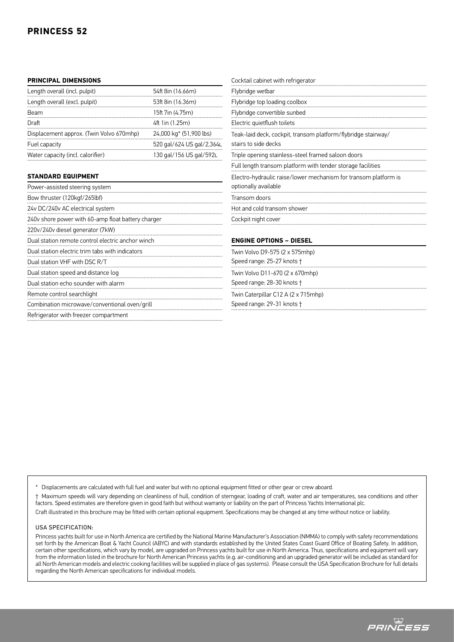### **PRINCIPAL DIMENSIONS**

| Length overall (incl. pulpit)            | 54ft 8in (16.66m)         |
|------------------------------------------|---------------------------|
| Length overall (excl. pulpit)            | 53ft 8in (16.36m)         |
| Beam                                     | 15ft 7in (4.75m)          |
| Draft                                    | 4ft 1in (1.25m)           |
| Displacement approx. (Twin Volvo 670mhp) | 24,000 kg* (51,900 lbs)   |
| Fuel capacity                            | 520 gal/624 US gal/2,364L |
| Water capacity (incl. calorifier)        | 130 gal/156 US gal/592L   |

### **STANDARD EQUIPMENT**

| Power-assisted steering system                     |
|----------------------------------------------------|
| Bow thruster (120kgf/265lbf)                       |
| 24v DC/240v AC electrical system                   |
| 240v shore power with 60-amp float battery charger |
| 220v/240v diesel generator (7kW)                   |
| Dual station remote control electric anchor winch  |
| Dual station electric trim tabs with indicators    |
| Dual station VHF with DSC R/T                      |
| Dual station speed and distance log                |
| Dual station echo sounder with alarm               |
| Remote control searchlight                         |
| Combination microwave/conventional oven/grill      |
| Refrigerator with freezer compartment              |

| Cocktail cabinet with refrigerator                              |  |
|-----------------------------------------------------------------|--|
| Flybridge wetbar                                                |  |
| Flybridge top loading coolbox                                   |  |
| Flybridge convertible sunbed                                    |  |
| Electric quietflush toilets                                     |  |
| Teak-laid deck, cockpit, transom platform/flybridge stairway/   |  |
| stairs to side decks                                            |  |
| Triple opening stainless-steel framed saloon doors              |  |
| Full length transom platform with tender storage facilities     |  |
| Electro-hydraulic raise/lower mechanism for transom platform is |  |
| optionally available                                            |  |
| Transom doors                                                   |  |
| Hot and cold transom shower                                     |  |
| Cockpit night cover                                             |  |
|                                                                 |  |
| <b>ENGINE OPTIONS - DIESEL</b>                                  |  |
|                                                                 |  |

Twin Volvo D9-575 (2 x 575mhp) Speed range: 25-27 knots † Twin Volvo D11-670 (2 x 670mhp) Speed range: 28-30 knots † Twin Caterpillar C12 A (2 x 715mhp)

Speed range: 29-31 knots †

Displacements are calculated with full fuel and water but with no optional equipment fitted or other gear or crew aboard.

† Maximum speeds will vary depending on cleanliness of hull, condition of sterngear, loading of craft, water and air temperatures, sea conditions and other factors. Speed estimates are therefore given in good faith but without warranty or liability on the part of Princess Yachts International plc.

Craft illustrated in this brochure may be fitted with certain optional equipment. Specifications may be changed at any time without notice or liability.

### USA Specification:

Princess yachts built for use in North America are certified by the National Marine Manufacturer's Association (NMMA) to comply with safety recommendations set forth by the American Boat & Yacht Council (ABYC) and with standards established by the United States Coast Guard Office of Boating Safety. In addition, certain other specifications, which vary by model, are upgraded on Princess yachts built for use in North America. Thus, specifications and equipment will vary from the information listed in the brochure for North American Princess yachts (e.g. air-conditioning and an upgraded generator will be included as standard for all North American models and electric cooking facilities will be supplied in place of gas systems). Please consult the USA Specification Brochure for full details regarding the North American specifications for individual models.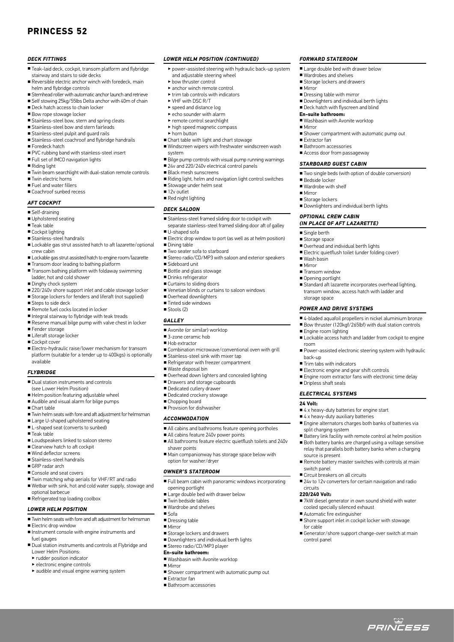### **PRINCESS 52**

### *DECK FITTINGS*

- Teak-laid deck, cockpit, transom platform and flybridge stairway and stairs to side decks
- Reversible electric anchor winch with foredeck, main helm and flybridge controls
- Stemhead roller with automatic anchor launch and retrieve
- Self stowing 25kg/55lbs Delta anchor with 40m of chain
- Deck hatch access to chain locker
- Bow rope stowage locker
- Stainless-steel bow, stern and spring cleats
- Stainless-steel bow and stern fairleads
- Stainless-steel pulpit and quard rails ■ Stainless-steel coachroof and flybridge handrails
- Foredeck hatch
- PVC rubbing band with stainless-steel insert
- Full set of IMCO navigation lights
- Riding light
- Twin beam searchlight with dual-station remote controls
- Twin electric horns
- Fuel and water fillers
- Coachroof sunhed recess

### *AFT COCKPIT*

- Self-draining
- Upholstered seating
- Teak table
- Cockpit lighting
- Stainless-steel handrails
- Lockable gas strut assisted hatch to aft lazarette/optional crew cabin
- Lockable gas strut assisted hatch to engine room/lazarette
- Transom door leading to bathing platform
- Transom bathing platform with foldaway swimming ladder, hot and cold shower
- 
- Dinghy chock system
- 220/240v shore support inlet and cable stowage locker ■ Storage lockers for fenders and liferaft (not supplied)
- Steps to side deck
- Remote fuel cocks located in locker
- Integral stairway to flybridge with teak treads
- Reserve manual bilge pump with valve chest in locker
- Fender storage
- Liferaft storage locker
- Cockpit cover
- Electro-hydraulic raise/lower mechanism for transom platform (suitable for a tender up to 400kgs) is optionally available

#### *FLYBRIDGE*

- Dual station instruments and controls
- (see Lower Helm Position)
- Helm position featuring adjustable wheel ■ Audible and visual alarm for bilge pumps
- Chart table
- Twin helm seats with fore and aft adjustment for helmsman
- Large U-shaped upholstered seating
- L-shaped seat (converts to sunbed)
- Teak table
- Loudspeakers linked to saloon stereo
- Clearview hatch to aft cockpit
- Wind deflector screens
- Stainless-steel handrails
- GRP radar arch
- Console and seat covers
- Twin matching whip aerials for VHF/RT and radio
- Wetbar with sink, hot and cold water supply, stowage and optional barbecue
- Refrigerated top loading coolbox
- *LOWER HELM POSITION*
- Twin helm seats with fore and aft adjustment for helmsman
- Electric drop window
- Instrument console with engine instruments and
- fuel gauges
- Dual station instruments and controls at Flybridge and Lower Helm Positions:
- ‣ rudder position indicator
- ‣ electronic engine controls
- $\blacktriangleright$  audible and visual engine warning system

# *LOWER HELM POSITION (CONTINUED)*

‣ power-assisted steering with hydraulic back-up system and adjustable steering wheel

*FORWARD STATEROOM* ■ Large double bed with drawer below ■ Wardrobes and shelves ■ Storage lockers and drawers

■ Dressing table with mirror

**En-suite bathroom:**

■ Downlighters and individual berth lights ■ Deck hatch with flyscreen and blind

■ Shower compartment with automatic pump out

■ Two single beds (with option of double conversion)

■ Standard aft lazarette incorporates overhead lighting, transom window, access hatch with ladder and

■ 4-bladed aquafoil propellers in nickel aluminium bronze ■ Bow thruster (120kgf/265lbf) with dual station controls

■ Lockable access hatch and ladder from cockpit to engine

■ Power-assisted electronic steering system with hydraulic

■ Engine room extractor fans with electronic time delay

■ Engine alternators charges both banks of batteries via

■ Battery link facility with remote control at helm position ■ Both battery banks are charged using a voltage sensitive relay that parallels both battery banks when a charging

■ Remote battery master switches with controls at main

■ 24v to 12v converters for certain navigation and radio

■ 7kW diesel generator in own sound shield with water

■ Shore support inlet in cockpit locker with stowage

■ Generator/shore support change-over switch at main

ت<br>*PRINCESS* 

■ Downlighters and individual berth lights

■ Overhead and individual berth lights ■ Electric quietflush toilet (under folding cover)

*POWER AND DRIVE SYSTEMS*

*OPTIONAL CREW CABIN (In place of aft Lazarette)*

■ Washbasin with Avonite worktop

■ Mirror

■ Mirror

■ Extractor fan ■ Bathroom accessories ■ Access door from passageway *STARBOARD GUEST CABIN*

■ Bedside locker ■ Wardrobe with shelf

■ Single berth ■ Storage space

■ Wash basin ■ Mirror ■ Transom window ■ Opening portlight

storage space

■ Engine room lighting

■ Trim tabs with indicators

■ Dripless shaft seals *ELECTRICAL SYSTEMS*

split charging system

source is present

■ Circuit breakers on all circuits

cooled specially silenced exhaust ■ Automatic fire extinguisher

switch panel

circuits **220/240 Volt:**

for cable

control panel

■ Electronic engine and gear shift controls

■ 4 x heavy-duty batteries for engine start ■ 4 x heavy-duty auxiliary batteries

room

**24 Volt:**

back-up

■ Mirror ■ Storage lockers

- ‣ bow thruster control
- ‣ anchor winch remote control
- ‣ trim tab controls with indicators
- ‣ VHF with DSC R/T
- ‣ speed and distance log
- $\blacktriangleright$  echo sounder with alarm ‣ remote control searchlight
- 
- ‣ high speed magnetic compass ‣ horn button
- Chart table with light and chart stowage
- Windscreen wipers with freshwater windscreen wash system
- Bilge pump controls with visual pump running warnings
- 24v and 220/240v electrical control panels
- Black mesh sunscreens
- Riding light, helm and navigation light control switches
- Stowage under helm seat
- 12v outlet
- Red night lighting

### *DECK SALOON*

- Stainless-steel framed sliding door to cockpit with separate stainless-steel framed sliding door aft of galley
- U-shaped sofa
- Electric drop window to port (as well as at helm position)
- Dining table
- Two seater sofa to starboard
- Stereo radio/CD/MP3 with saloon and exterior speakers
- Sideboard unit
- Bottle and glass stowage
- Drinks refrigerator
- Curtains to sliding doors

■ Avonite (or similar) worktop ■ 3-zone ceramic hob ■ Hob extractor

■ Stainless-steel sink with mixer tap ■ Refrigerator with freezer compartment

■ Drawers and storage cupboards ■ Dedicated cutlery drawer ■ Dedicated crockery stowage ■ Chopping board ■ Provision for dishwasher *ACCOMMODATION*

■ All cabins feature 240v power points

■ Large double bed with drawer below

■ Storage lockers and drawers ■ Downlighters and individual berth lights ■ Stereo radio/CD/MP3 player **En-suite bathroom:**

■ Washbasin with Avonite worktop

■ Shower compartment with automatic pump out

■ Venetian blinds or curtains to saloon windows ■ Overhead downlighters

■ Combination microwave/conventional oven with grill

■ Overhead down lighters and concealed lighting

■ All cabins and bathrooms feature opening portholes

■ Main companionway has storage space below with

■ All bathrooms feature electric quietflush toilets and 240v

■ Full beam cabin with panoramic windows incorporating

- Tinted side windows
- Stools (2)

■ Waste disposal bin

shaver points

opening portlight

■ Twin bedside tables ■ Wardrobe and shelves

■ Sofa ■ Dressing table ■ Mirror

■ Mirror

■ Extractor fan ■ Rathroom accessories

option for washer/dryer *OWNER'S STATEROOM*

*GALLEY*